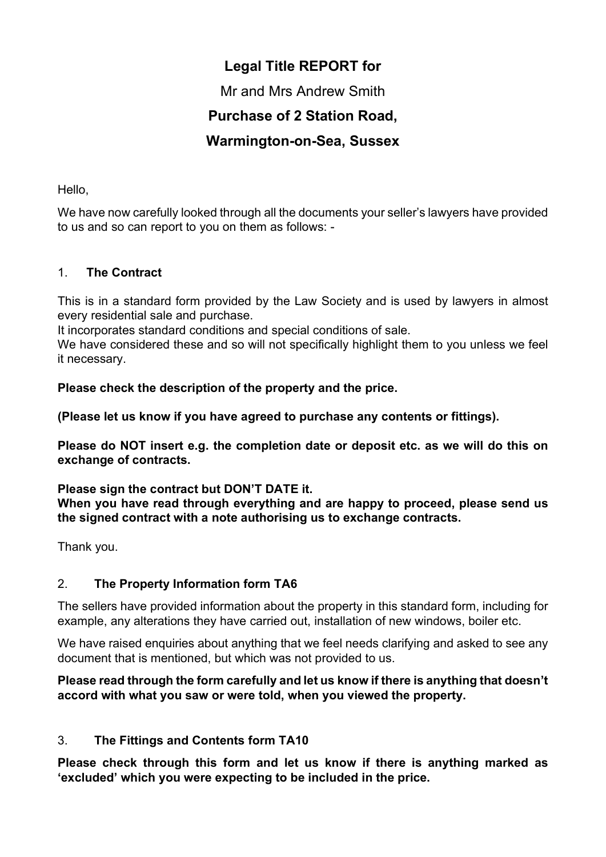# Legal Title REPORT for

Mr and Mrs Andrew Smith

## Purchase of 2 Station Road,

## Warmington-on-Sea, Sussex

Hello,

We have now carefully looked through all the documents your seller's lawyers have provided to us and so can report to you on them as follows: -

## 1. The Contract

This is in a standard form provided by the Law Society and is used by lawyers in almost every residential sale and purchase.

It incorporates standard conditions and special conditions of sale.

We have considered these and so will not specifically highlight them to you unless we feel it necessary.

Please check the description of the property and the price.

(Please let us know if you have agreed to purchase any contents or fittings).

Please do NOT insert e.g. the completion date or deposit etc. as we will do this on exchange of contracts.

## Please sign the contract but DON'T DATE it.

When you have read through everything and are happy to proceed, please send us the signed contract with a note authorising us to exchange contracts.

Thank you.

## 2. The Property Information form TA6

The sellers have provided information about the property in this standard form, including for example, any alterations they have carried out, installation of new windows, boiler etc.

We have raised enquiries about anything that we feel needs clarifying and asked to see any document that is mentioned, but which was not provided to us.

## Please read through the form carefully and let us know if there is anything that doesn't accord with what you saw or were told, when you viewed the property.

## 3. The Fittings and Contents form TA10

Please check through this form and let us know if there is anything marked as 'excluded' which you were expecting to be included in the price.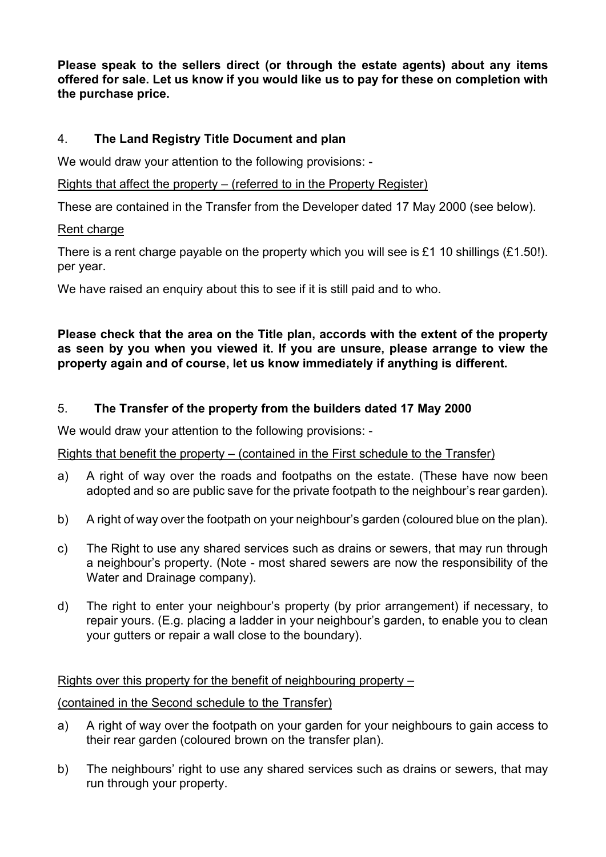Please speak to the sellers direct (or through the estate agents) about any items offered for sale. Let us know if you would like us to pay for these on completion with the purchase price.

## 4. The Land Registry Title Document and plan

We would draw your attention to the following provisions: -

### Rights that affect the property – (referred to in the Property Register)

These are contained in the Transfer from the Developer dated 17 May 2000 (see below).

#### Rent charge

There is a rent charge payable on the property which you will see is £1 10 shillings (£1.50!). per year.

We have raised an enquiry about this to see if it is still paid and to who.

#### Please check that the area on the Title plan, accords with the extent of the property as seen by you when you viewed it. If you are unsure, please arrange to view the property again and of course, let us know immediately if anything is different.

## 5. The Transfer of the property from the builders dated 17 May 2000

We would draw your attention to the following provisions: -

#### Rights that benefit the property – (contained in the First schedule to the Transfer)

- a) A right of way over the roads and footpaths on the estate. (These have now been adopted and so are public save for the private footpath to the neighbour's rear garden).
- b) A right of way over the footpath on your neighbour's garden (coloured blue on the plan).
- c) The Right to use any shared services such as drains or sewers, that may run through a neighbour's property. (Note - most shared sewers are now the responsibility of the Water and Drainage company).
- d) The right to enter your neighbour's property (by prior arrangement) if necessary, to repair yours. (E.g. placing a ladder in your neighbour's garden, to enable you to clean your gutters or repair a wall close to the boundary).

## Rights over this property for the benefit of neighbouring property –

## (contained in the Second schedule to the Transfer)

- a) A right of way over the footpath on your garden for your neighbours to gain access to their rear garden (coloured brown on the transfer plan).
- b) The neighbours' right to use any shared services such as drains or sewers, that may run through your property.